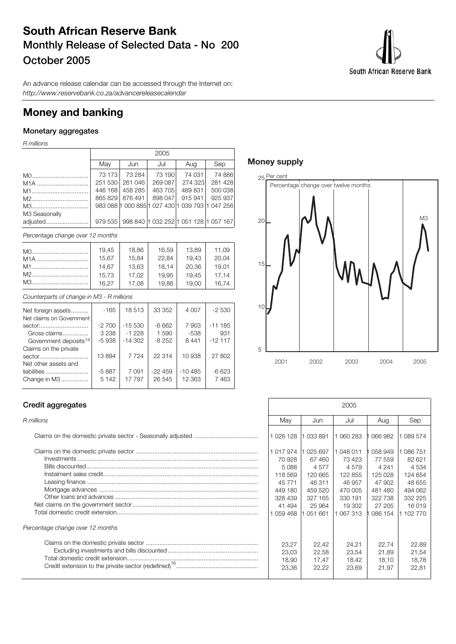# **South African Reserve Bank Monthly Release of Selected Data - No 200 October 2005**

South African Reserve Bank

An advance release calendar can be accessed through the Internet on: http://www.reservebank.co.za/advancereleasecalendar

## **Money and banking**

## **Monetary aggregates**

R millions

|               | 2005    |                 |         |                                                 |         |  |  |  |  |
|---------------|---------|-----------------|---------|-------------------------------------------------|---------|--|--|--|--|
|               | May     | Jun             | Jul     | Aug                                             | Sep     |  |  |  |  |
|               | 73 173  | 73 284          | 73 190  | 74 031                                          | 74 886  |  |  |  |  |
| $M1A$         | 251 530 | 261 046         | 269 087 | 274 323                                         | 281 428 |  |  |  |  |
| M1            | 446 168 | 458 285         | 463 705 | 489 831                                         | 500 038 |  |  |  |  |
| M2            |         | 865 829 876 491 | 898 047 | 915 941                                         | 925 937 |  |  |  |  |
| M3            |         |                 |         | 983 088 1 000 885 1 027 430 1 039 793 1 047 256 |         |  |  |  |  |
| M3 Seasonally |         |                 |         |                                                 |         |  |  |  |  |
| adjusted      | 979 535 |                 |         | 998 840 1 032 252 1 051 128 1 057 167           |         |  |  |  |  |

Percentage change over 12 months

| M0               | 19.45 | 18.86 | 16.59 | 13.89 | 11.09 |
|------------------|-------|-------|-------|-------|-------|
| M <sub>1</sub> A | 15.67 | 15,84 | 22.84 | 19.43 | 20,04 |
|                  | 14.67 | 13.63 | 18.14 | 20.36 | 19.01 |
|                  | 15.73 | 17.02 | 19.95 | 19.45 | 17.14 |
|                  | 16.27 | 17.08 | 19.86 | 19.00 | 16.74 |

Counterparts of change in M3 - R millions

| Net foreign assets                | $-165$  | 18513     | 33 352   | 4 0 0 7   | $-2530$   |
|-----------------------------------|---------|-----------|----------|-----------|-----------|
| Net claims on Government          |         |           |          |           |           |
| sector:                           | $-2700$ | $-15530$  | $-6662$  | 7903      | $-111185$ |
| Gross claims                      | 3 2 3 8 | $-1228$   | 1590     | $-538$    | 931       |
| Government deposits <sup>14</sup> | $-5938$ | $-14.302$ | $-8252$  | 8441      | $-12117$  |
| Claims on the private             |         |           |          |           |           |
| sector                            | 13894   | 7 7 2 4   | 22 314   | 10 938    | 27 802    |
| Net other assets and              |         |           |          |           |           |
| liabilities                       | $-5887$ | 7 0 9 1   | $-22459$ | $-10.485$ | $-6623$   |
| Change in M3                      | 5 1 4 2 | 17 797    | 26 545   | 12 3 63   | 7463      |
|                                   |         |           |          |           |           |

## **Money supply**



## **Credit aggregates**

| Percentage change over 12 months |  |
|----------------------------------|--|
|                                  |  |

| Credit aggregates                |                                                                                               |                                                                                               | 2005                                                                                             |                                                                                              |                                                                                                |
|----------------------------------|-----------------------------------------------------------------------------------------------|-----------------------------------------------------------------------------------------------|--------------------------------------------------------------------------------------------------|----------------------------------------------------------------------------------------------|------------------------------------------------------------------------------------------------|
| R millions                       | Mav                                                                                           | Jun                                                                                           | Jul                                                                                              | Aug                                                                                          | Sep                                                                                            |
|                                  | 1 0 26 1 28                                                                                   | 1 033 891                                                                                     | 1 060 283                                                                                        | 066982                                                                                       | 089 574                                                                                        |
|                                  | 1 017 974<br>70 928<br>5088<br>118 569<br>45 771<br>449 180<br>328 439<br>41 494<br>1 059 468 | 1 025 697<br>67 460<br>4577<br>120 665<br>46 311<br>459 520<br>327 165<br>25 964<br>1 051 661 | 1 048 011<br>73 423<br>4 5 7 9<br>122 855<br>46 957<br>470 005<br>330 191<br>19 302<br>1 067 313 | 058 949<br>77 559<br>4 2 4 1<br>125 028<br>47 902<br>481 480<br>322 738<br>27 205<br>086 154 | 086 751<br>82 621<br>4 5 3 4<br>124 654<br>48 655<br>494 062<br>332 225<br>16 019<br>1 102 770 |
| Percentage change over 12 months |                                                                                               |                                                                                               |                                                                                                  |                                                                                              |                                                                                                |
|                                  | 23.27<br>23.03<br>18,90<br>23,36                                                              | 22.42<br>22,58<br>17.47<br>22,22                                                              | 24.21<br>23.54<br>18,42<br>23,69                                                                 | 22.74<br>21.89<br>18.10<br>21,97                                                             | 22,89<br>21,54<br>18,78<br>22,81                                                               |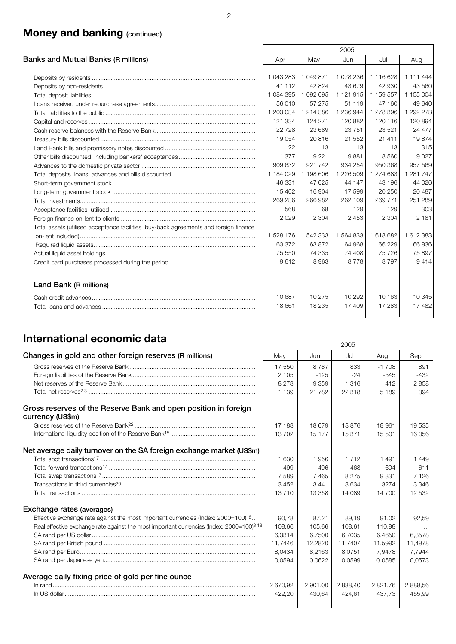# **Money and banking (continued)**

|                                                                                      |           |           | 2005      |           |           |
|--------------------------------------------------------------------------------------|-----------|-----------|-----------|-----------|-----------|
| Banks and Mutual Banks (R millions)                                                  | Apr       | May       | Jun       | Jul       | Aug       |
|                                                                                      |           |           |           |           |           |
|                                                                                      | 1 043 283 | 1 049 871 | 1 078 236 | 1 116 628 | 1 111 444 |
|                                                                                      | 41 112    | 42 824    | 43 679    | 42 930    | 43 560    |
|                                                                                      | 1084395   | 1 092 695 | 1 121 915 | 1 159 557 | 1 155 004 |
|                                                                                      | 56 010    | 57 275    | 51 119    | 47 160    | 49 640    |
|                                                                                      | 1 203 034 | 1 214 386 | 1 236 944 | 1 278 396 | 1 292 273 |
|                                                                                      | 121 334   | 124 271   | 120 882   | 120 116   | 120894    |
|                                                                                      | 22728     | 23 689    | 23751     | 23 5 21   | 24 477    |
|                                                                                      | 19 0 54   | 20816     | 21 552    | 21 411    | 19874     |
|                                                                                      | 22        | 13        | 13        | 13        | 315       |
|                                                                                      | 11 377    | 9 2 2 1   | 9881      | 8 5 6 0   | 9027      |
|                                                                                      | 909 632   | 921 742   | 934 254   | 950 368   | 957 569   |
|                                                                                      | 1 184 029 | 1 198 606 | 1 226 509 | 1 274 683 | 1 281 747 |
|                                                                                      | 46 331    | 47 0 25   | 44 147    | 43 196    | 44 0 26   |
|                                                                                      | 15 4 62   | 16 904    | 17599     | 20 250    | 20 487    |
|                                                                                      | 269 236   | 266 982   | 262 109   | 269 771   | 251 289   |
|                                                                                      | 568       | 68        | 129       | 129       | 303       |
|                                                                                      | 2029      | 2 3 0 4   | 2453      | 2 3 0 4   | 2 1 8 1   |
| Total assets (utilised acceptance facilities buy-back agreements and foreign finance |           |           |           |           |           |
|                                                                                      | 1528 176  | 1 542 333 | 1 564 833 | 1618682   | 1612383   |
|                                                                                      | 63 372    | 63 872    | 64 968    | 66 229    | 66936     |
|                                                                                      | 75 550    | 74 335    | 74 408    | 75 726    | 75 897    |
|                                                                                      | 9612      | 8963      | 8778      | 8 7 9 7   | 9414      |
| Land Bank (R millions)                                                               |           |           |           |           |           |
|                                                                                      | 10 687    | 10 275    | 10 29 2   | 10 163    | 10 345    |
|                                                                                      | 18 661    | 18 2 35   | 17 409    | 17 283    | 17482     |

# **International economic data** 2005

|                                                                                                      |          |          | ZUUJ     |         |          |
|------------------------------------------------------------------------------------------------------|----------|----------|----------|---------|----------|
| Changes in gold and other foreign reserves (R millions)                                              | May      | Jun      | Jul      | Aug     | Sep      |
|                                                                                                      | 17 550   | 8787     | 833      | $-1708$ | 891      |
|                                                                                                      | 2 1 0 5  | $-125$   | $-24$    | $-545$  | $-432$   |
|                                                                                                      | 8 2 7 8  | 9 3 5 9  | 1 3 1 6  | 412     | 2858     |
|                                                                                                      | 1 1 3 9  | 21 7 8 2 | 22 318   | 5 1 8 9 | 394      |
| Gross reserves of the Reserve Bank and open position in foreign<br>currency (US\$m)                  |          |          |          |         |          |
|                                                                                                      | 17 188   | 18 679   | 18876    | 18 961  | 19535    |
|                                                                                                      | 13702    | 15 177   | 15 371   | 15 501  | 16 056   |
| Net average daily turnover on the SA foreign exchange market (US\$m)                                 |          |          |          |         |          |
|                                                                                                      | 1 6 3 0  | 1956     | 1 7 1 2  | 1491    | 1449     |
|                                                                                                      | 499      | 496      | 468      | 604     | 611      |
|                                                                                                      | 7589     | 7 4 6 5  | 8 2 7 5  | 9 3 3 1 | 7 1 2 6  |
|                                                                                                      | 3452     | 3441     | 3634     | 3274    | 3 3 4 6  |
|                                                                                                      | 13710    | 13 358   | 14 089   | 14 700  | 12 532   |
| Exchange rates (averages)                                                                            |          |          |          |         |          |
| Effective exchange rate against the most important currencies (Index: 2000=100) <sup>18</sup>        | 90.78    | 87.21    | 89.19    | 91.02   | 92.59    |
| Real effective exchange rate against the most important currencies (Index: 2000=100) <sup>3</sup> 18 | 108,66   | 105,66   | 108,61   | 110,98  | $\cdots$ |
|                                                                                                      | 6,3314   | 6,7500   | 6,7035   | 6,4650  | 6,3578   |
|                                                                                                      | 11,7446  | 12,2820  | 11,7407  | 11,5992 | 11,4978  |
|                                                                                                      | 8,0434   | 8,2163   | 8,0751   | 7.9478  | 7,7944   |
|                                                                                                      | 0.0594   | 0,0622   | 0.0599   | 0.0585  | 0,0573   |
| Average daily fixing price of gold per fine ounce                                                    |          |          |          |         |          |
|                                                                                                      | 2 670,92 | 2 901,00 | 2 838,40 | 2821,76 | 2 889,56 |
|                                                                                                      | 422,20   | 430,64   | 424,61   | 437.73  | 455,99   |
|                                                                                                      |          |          |          |         |          |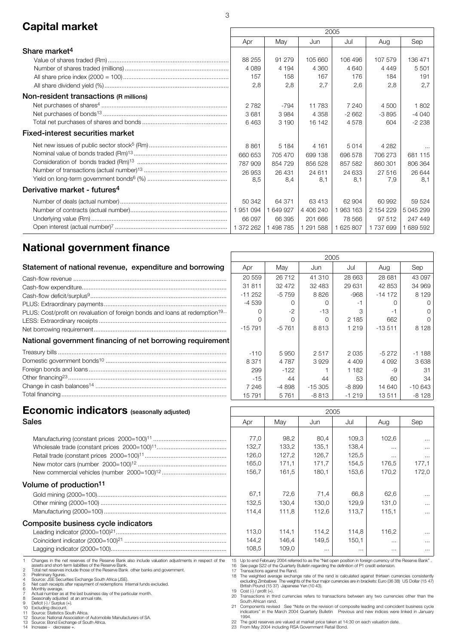# **Capital market** 2005

|                                          | LUUU      |         |           |           |           |           |
|------------------------------------------|-----------|---------|-----------|-----------|-----------|-----------|
|                                          | Apr       | May     | Jun       | Jul       | Aug       | Sep       |
| Share market <sup>4</sup>                |           |         |           |           |           |           |
|                                          | 88 255    | 91 279  | 105 660   | 106 496   | 107 579   | 136 471   |
|                                          | 4 0 8 9   | 4 1 9 4 | 4 3 6 0   | 4 640     | 4 4 4 9   | 5 5 0 1   |
|                                          | 157       | 158     | 167       | 176       | 184       | 191       |
|                                          | 2,8       | 2,8     | 2,7       | 2,6       | 2,8       | 2,7       |
| Non-resident transactions (R millions)   |           |         |           |           |           |           |
|                                          | 2 7 8 2   | $-794$  | 11783     | 7 240     | 4 500     | 1802      |
|                                          | 3681      | 3984    | 4 3 5 8   | $-2662$   | $-3895$   | -4 040    |
|                                          | 6463      | 3 1 9 0 | 16 142    | 4578      | 604       | $-2238$   |
| <b>Fixed-interest securities market</b>  |           |         |           |           |           |           |
|                                          | 8861      | 5 1 8 4 | 4 1 6 1   | 5014      | 4 2 8 2   | $\cdots$  |
|                                          | 660 653   | 705 470 | 699 138   | 696 578   | 706 273   | 681 115   |
|                                          | 787 909   | 854 729 | 856 528   | 857 582   | 860 301   | 806 364   |
|                                          | 26 953    | 26 431  | 24 611    | 24 633    | 27 516    | 26 644    |
|                                          | 8,5       | 8.4     | 8.1       | 8.1       | 7,9       | 8.1       |
| Derivative market - futures <sup>4</sup> |           |         |           |           |           |           |
|                                          | 50 342    | 64 371  | 63413     | 62 904    | 60 992    | 59 524    |
|                                          | 1951094   | 649 927 | 4 406 240 | 1963 163  | 2 154 229 | 5 045 299 |
|                                          | 66 097    | 66 395  | 201 666   | 78 566    | 97 512    | 247 449   |
|                                          | 1 372 262 | 498 785 | 1 291 588 | 1 625 807 | 1737699   | 689 592   |

# **National government finance**

|                                                                                         | 2005     |         |          |         |           |          |
|-----------------------------------------------------------------------------------------|----------|---------|----------|---------|-----------|----------|
| Statement of national revenue, expenditure and borrowing                                | Apr      | May     | Jun      | Jul     | Aug       | Sep      |
|                                                                                         | 20 559   | 26712   | 41 310   | 28 663  | 28 681    | 43 097   |
|                                                                                         | 31811    | 32 472  | 32 483   | 29 631  | 42 853    | 34 969   |
|                                                                                         | $-11252$ | $-5759$ | 8826     | $-968$  | $-14$ 172 | 8 1 2 9  |
|                                                                                         | $-4539$  |         |          |         |           |          |
| PLUS: Cost/profit on revaluation of foreign bonds and loans at redemption <sup>19</sup> |          | $-2$    | $-13$    |         |           |          |
|                                                                                         |          |         |          | 2 1 8 5 | 662       |          |
|                                                                                         | $-15791$ | $-5761$ | 8 8 1 3  | 1 2 1 9 | $-13511$  | 8 1 2 8  |
| National government financing of net borrowing requirement                              |          |         |          |         |           |          |
|                                                                                         | $-110$   | 5950    | 2517     | 2 0 3 5 | $-5272$   | $-1188$  |
|                                                                                         | 8 3 7 1  | 4 7 8 7 | 3929     | 4 4 0 9 | 4 0 9 2   | 3638     |
|                                                                                         | 299      | $-122$  |          | 1 1 8 2 |           | 31       |
|                                                                                         | $-15$    | 44      | 44       | 53      | 60        | 34       |
|                                                                                         | 7 2 4 6  | -4898   | $-15305$ | -8899   | 14 640    | $-10643$ |
|                                                                                         | 15 791   | 5761    | $-8813$  | $-1219$ | 13511     | $-8128$  |

 $\overline{1}$ 

| <b>Economic indicators</b> (seasonally adjusted)                                                                                                                                                                                                                                                                                                                                                                                                                                                                                                                                                                                                                                                                                                                                                                                                                    |                                                                                                  |                                                   | 2005                                                                                                                                                                                                                                                                                                                                                                                                                                                                                                                                                                                                                                                                                                                                                                                                                                                                                                       |                                                      |                                                         |                                                                      |
|---------------------------------------------------------------------------------------------------------------------------------------------------------------------------------------------------------------------------------------------------------------------------------------------------------------------------------------------------------------------------------------------------------------------------------------------------------------------------------------------------------------------------------------------------------------------------------------------------------------------------------------------------------------------------------------------------------------------------------------------------------------------------------------------------------------------------------------------------------------------|--------------------------------------------------------------------------------------------------|---------------------------------------------------|------------------------------------------------------------------------------------------------------------------------------------------------------------------------------------------------------------------------------------------------------------------------------------------------------------------------------------------------------------------------------------------------------------------------------------------------------------------------------------------------------------------------------------------------------------------------------------------------------------------------------------------------------------------------------------------------------------------------------------------------------------------------------------------------------------------------------------------------------------------------------------------------------------|------------------------------------------------------|---------------------------------------------------------|----------------------------------------------------------------------|
| <b>Sales</b>                                                                                                                                                                                                                                                                                                                                                                                                                                                                                                                                                                                                                                                                                                                                                                                                                                                        | Apr                                                                                              | May                                               | Jun                                                                                                                                                                                                                                                                                                                                                                                                                                                                                                                                                                                                                                                                                                                                                                                                                                                                                                        | Jul                                                  | Aug                                                     | Sep                                                                  |
|                                                                                                                                                                                                                                                                                                                                                                                                                                                                                                                                                                                                                                                                                                                                                                                                                                                                     | 77,0<br>132,7                                                                                    | 98,2<br>133,2                                     | 80.4<br>135.1                                                                                                                                                                                                                                                                                                                                                                                                                                                                                                                                                                                                                                                                                                                                                                                                                                                                                              | 109.3<br>138.4                                       | 102,6<br>$\cdots$                                       | $\cdots$<br>$\cdots$                                                 |
|                                                                                                                                                                                                                                                                                                                                                                                                                                                                                                                                                                                                                                                                                                                                                                                                                                                                     | 126,0<br>165,0<br>156.7                                                                          | 127,2<br>171,1<br>161.5                           | 126.7<br>171,7<br>180.1                                                                                                                                                                                                                                                                                                                                                                                                                                                                                                                                                                                                                                                                                                                                                                                                                                                                                    | 125,5<br>154,5<br>153.6                              | $\cdots$<br>176.5<br>170.2                              | $\cdots$<br>177.1<br>172,0                                           |
| Volume of production <sup>11</sup><br>Composite business cycle indicators                                                                                                                                                                                                                                                                                                                                                                                                                                                                                                                                                                                                                                                                                                                                                                                           | 67,1<br>132,5<br>114.4<br>113,0<br>144,2<br>108,5                                                | 72,6<br>130,4<br>111.8<br>114,1<br>146,4<br>109,0 | 71.4<br>130.0<br>112,6<br>114,2<br>149,5<br>$\cdots$                                                                                                                                                                                                                                                                                                                                                                                                                                                                                                                                                                                                                                                                                                                                                                                                                                                       | 66,8<br>129.9<br>113.7<br>114,8<br>150,1<br>$\cdots$ | 62.6<br>131.0<br>115.1<br>116.2<br>$\cdots$<br>$\cdots$ | $\cdots$<br>$\cdots$<br>$\cdots$<br>$\cdots$<br>$\cdots$<br>$\cdots$ |
| Changes in the net reserves of the Reserve Bank also include valuation adjustments in respect of the<br>assets and short-term liabilities of the Reserve Bank.<br>$\overline{c}$<br>Total net reserves include those of the Reserve Bank other banks and government.<br>З<br>Preliminary figures.<br>Source: JSE Securities Exchange South Africa (JSE).<br>5<br>Net cash receipts after repayment of redemptions Internal funds excluded.<br>6<br>Monthly average.<br>Actual number as at the last business day of the particular month.<br>8<br>Seasonally adjusted at an annual rate.<br>9<br>Deficit (-) / Surplus (+).<br>10 <sup>10</sup><br>Excluding discount.<br>Source: Statistics South Africa.<br>11<br>Source: National Association of Automobile Manufacturers of SA.<br>12<br>13 Source: Bond Exchange of South Africa.<br>14 Increase - decrease +. | 17 Transactions against the Rand.<br>19 $Cost (-) / profit (+)$ .<br>South African rand.<br>1994 | British Pound (15 37) Japanese Yen (10 43).       | 15 Up to end February 2004 referred to as the "Net open position in foreign currency of the Reserve Bank".<br>16 See page S22 of the Quarterly Bulletin regarding the definition of P1 credit extension.<br>18 The weighted average exchange rate of the rand is calculated against thirteen currencies consistently<br>excluding Zimbabwe The weights of the four major currencies are in brackets: Euro (36 38) US Dollar (15 47)<br>20 Transactions in third currencies refers to transactions between any two currencies other than the<br>21 Components revised See "Note on the revision of composite leading and coincident business cycle<br>indicators" in the March 2004 Quarterly Bulletin  Previous and new indices were linked in January<br>22 The gold reserves are valued at market price taken at 14:30 on each valuation date.<br>23 From May 2004 including RSA Government Retail Bond. |                                                      |                                                         |                                                                      |

٦